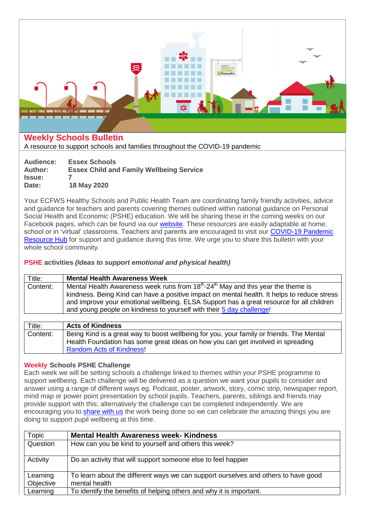

# **Weekly Schools Bulletin**

A resource to support schools and families throughout the COVID-19 pandemic

| Audience:     | <b>Essex Schools</b>                            |
|---------------|-------------------------------------------------|
| Author:       | <b>Essex Child and Family Wellbeing Service</b> |
| <b>Issue:</b> |                                                 |
| Date:         | 18 May 2020                                     |

Your ECFWS Healthy Schools and Public Health Team are coordinating family friendly activities, advice and guidance for teachers and parents covering themes outlined within national guidance on Personal Social Health and Economic (PSHE) education. We will be sharing these in the coming weeks on our Facebook pages, which can be found via our [website.](https://essexfamilywellbeing.co.uk/) These resources are easily adaptable at home, school or in 'virtual' classrooms. Teachers and parents are encouraged to visit our [COVID-19 Pandemic](https://essexfamilywellbeing.co.uk/covid-19-pandemic-resource-hub/)  [Resource Hub](https://essexfamilywellbeing.co.uk/covid-19-pandemic-resource-hub/) for support and guidance during this time. We urge you to share this bulletin with your whole school community.

## **PSHE activities** *(Ideas to support emotional and physical health)*

| Title:   | <b>Mental Health Awareness Week</b>                                                                                                                                                                                                                                                                                                                               |
|----------|-------------------------------------------------------------------------------------------------------------------------------------------------------------------------------------------------------------------------------------------------------------------------------------------------------------------------------------------------------------------|
| Content: | Mental Health Awareness week runs from $18th$ -24 <sup>th</sup> May and this year the theme is<br>kindness. Being Kind can have a positive impact on mental health. It helps to reduce stress<br>and improve your emotional wellbeing. ELSA Support has a great resource for all children<br>and young people on kindness to yourself with their 5 day challenge! |
|          |                                                                                                                                                                                                                                                                                                                                                                   |
| Title:   | <b>Acts of Kindness</b>                                                                                                                                                                                                                                                                                                                                           |
| Content: | Being Kind is a great way to boost wellbeing for you, your family or friends. The Mental<br>Health Foundation has some great ideas on how you can get involved in spreading                                                                                                                                                                                       |

### **Weekly Schools PSHE Challenge**

[Random Acts of Kindness!](https://www.mentalhealth.org.uk/coronavirus/random-acts-kindness)

Each week we will be setting schools a challenge linked to themes within your PSHE programme to support wellbeing. Each challenge will be delivered as a question we want your pupils to consider and answer using a range of different ways eg. Podcast, poster, artwork, story, comic strip, newspaper report, mind map or power point presentation by school pupils. Teachers, parents, siblings and friends may provide support with this; alternatively the challenge can be completed independently. We are encouraging you to [share with us](mailto:vcl.EssexPublicHealthandHealthySchools@nhs.net) the work being done so we can celebrate the amazing things you are doing to support pupil wellbeing at this time.

| Topic                 | <b>Mental Health Awareness week- Kindness</b>                                                       |
|-----------------------|-----------------------------------------------------------------------------------------------------|
| Question              | How can you be kind to yourself and others this week?                                               |
| Activity              | Do an activity that will support someone else to feel happier                                       |
| Learning<br>Objective | To learn about the different ways we can support ourselves and others to have good<br>mental health |
| Learning              | To identify the benefits of helping others and why it is important.                                 |